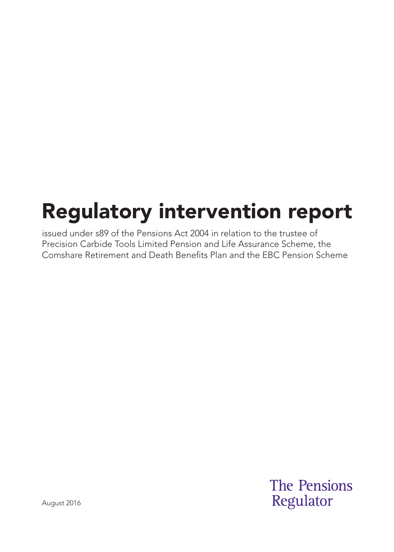# Regulatory intervention report

issued under s89 of the Pensions Act 2004 in relation to the trustee of Precision Carbide Tools Limited Pension and Life Assurance Scheme, the Comshare Retirement and Death Benefits Plan and the EBC Pension Scheme

> **The Pensions** Regulator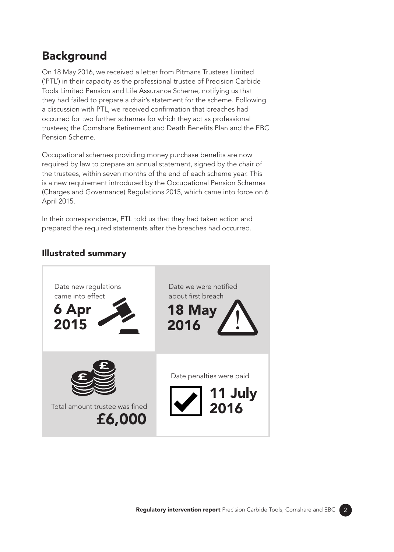## **Background**

On 18 May 2016, we received a letter from Pitmans Trustees Limited ('PTL') in their capacity as the professional trustee of Precision Carbide Tools Limited Pension and Life Assurance Scheme, notifying us that they had failed to prepare a chair's statement for the scheme. Following a discussion with PTL, we received confirmation that breaches had occurred for two further schemes for which they act as professional trustees; the Comshare Retirement and Death Benefits Plan and the EBC Pension Scheme.

Occupational schemes providing money purchase benefits are now required by law to prepare an annual statement, signed by the chair of the trustees, within seven months of the end of each scheme year. This is a new requirement introduced by the Occupational Pension Schemes (Charges and Governance) Regulations 2015, which came into force on 6 April 2015.

In their correspondence, PTL told us that they had taken action and prepared the required statements after the breaches had occurred.

#### Illustrated summary

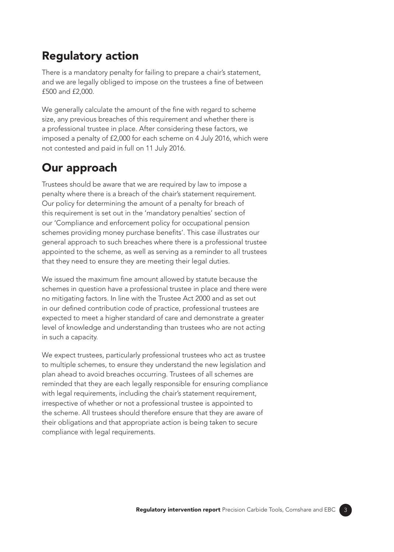#### Regulatory action

There is a mandatory penalty for failing to prepare a chair's statement, and we are legally obliged to impose on the trustees a fine of between £500 and £2,000.

We generally calculate the amount of the fine with regard to scheme size, any previous breaches of this requirement and whether there is a professional trustee in place. After considering these factors, we imposed a penalty of £2,000 for each scheme on 4 July 2016, which were not contested and paid in full on 11 July 2016.

## Our approach

Trustees should be aware that we are required by law to impose a penalty where there is a breach of the chair's statement requirement. Our policy for determining the amount of a penalty for breach of this requirement is set out in the 'mandatory penalties' section of our 'Compliance and enforcement policy for occupational pension schemes providing money purchase benefits'. This case illustrates our general approach to such breaches where there is a professional trustee appointed to the scheme, as well as serving as a reminder to all trustees that they need to ensure they are meeting their legal duties.

We issued the maximum fine amount allowed by statute because the schemes in question have a professional trustee in place and there were no mitigating factors. In line with the Trustee Act 2000 and as set out in our defined contribution code of practice, professional trustees are expected to meet a higher standard of care and demonstrate a greater level of knowledge and understanding than trustees who are not acting in such a capacity.

We expect trustees, particularly professional trustees who act as trustee to multiple schemes, to ensure they understand the new legislation and plan ahead to avoid breaches occurring. Trustees of all schemes are reminded that they are each legally responsible for ensuring compliance with legal requirements, including the chair's statement requirement, irrespective of whether or not a professional trustee is appointed to the scheme. All trustees should therefore ensure that they are aware of their obligations and that appropriate action is being taken to secure compliance with legal requirements.